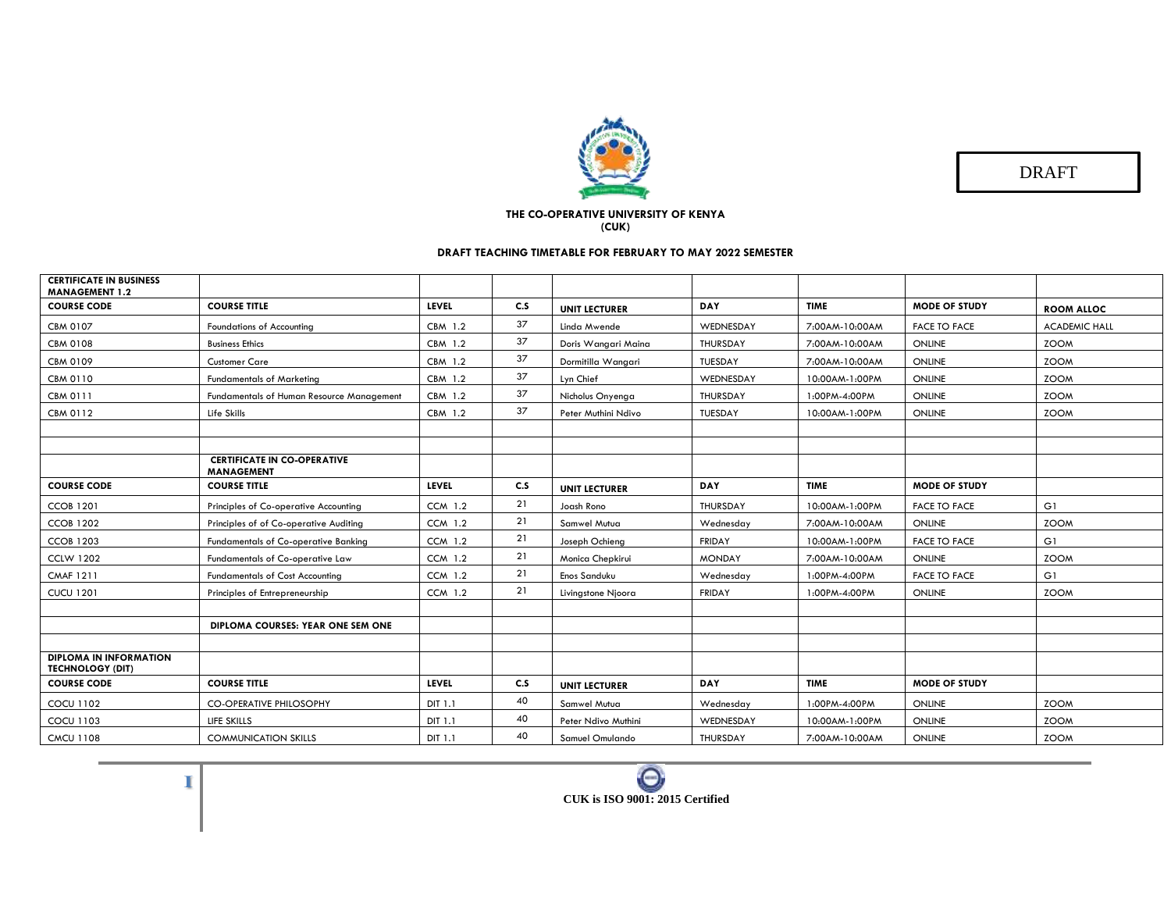

DRAFT

## **THE CO-OPERATIVE UNIVERSITY OF KENYA (CUK)**

## **DRAFT TEACHING TIMETABLE FOR FEBRUARY TO MAY 2022 SEMESTER**

| <b>CERTIFICATE IN BUSINESS</b><br><b>MANAGEMENT 1.2</b>  |                                                         |                |     |                      |                 |                |                      |                      |
|----------------------------------------------------------|---------------------------------------------------------|----------------|-----|----------------------|-----------------|----------------|----------------------|----------------------|
| <b>COURSE CODE</b>                                       | <b>COURSE TITLE</b>                                     | <b>LEVEL</b>   | C.S | <b>UNIT LECTURER</b> | <b>DAY</b>      | <b>TIME</b>    | <b>MODE OF STUDY</b> | <b>ROOM ALLOC</b>    |
| CBM 0107                                                 | <b>Foundations of Accounting</b>                        | CBM 1.2        | 37  | Linda Mwende         | WEDNESDAY       | 7:00AM-10:00AM | <b>FACE TO FACE</b>  | <b>ACADEMIC HALL</b> |
| <b>CBM 0108</b>                                          | <b>Business Ethics</b>                                  | CBM 1.2        | 37  | Doris Wangari Maina  | <b>THURSDAY</b> | 7:00AM-10:00AM | <b>ONLINE</b>        | <b>ZOOM</b>          |
| CBM 0109                                                 | <b>Customer Care</b>                                    | CBM 1.2        | 37  | Dormitilla Wangari   | TUESDAY         | 7:00AM-10:00AM | <b>ONLINE</b>        | <b>ZOOM</b>          |
| CBM 0110                                                 | <b>Fundamentals of Marketing</b>                        | CBM 1.2        | 37  | Lyn Chief            | WEDNESDAY       | 10:00AM-1:00PM | ONLINE               | <b>ZOOM</b>          |
| CBM 0111                                                 | Fundamentals of Human Resource Management               | CBM 1.2        | 37  | Nicholus Onyenga     | THURSDAY        | 1:00PM-4:00PM  | ONLINE               | <b>ZOOM</b>          |
| <b>CBM 0112</b>                                          | Life Skills                                             | CBM 1.2        | 37  | Peter Muthini Ndivo  | TUESDAY         | 10:00AM-1:00PM | ONLINE               | <b>ZOOM</b>          |
|                                                          |                                                         |                |     |                      |                 |                |                      |                      |
|                                                          |                                                         |                |     |                      |                 |                |                      |                      |
|                                                          | <b>CERTIFICATE IN CO-OPERATIVE</b><br><b>MANAGEMENT</b> |                |     |                      |                 |                |                      |                      |
| <b>COURSE CODE</b>                                       | <b>COURSE TITLE</b>                                     | <b>LEVEL</b>   | C.S | <b>UNIT LECTURER</b> | <b>DAY</b>      | <b>TIME</b>    | <b>MODE OF STUDY</b> |                      |
| <b>CCOB 1201</b>                                         | Principles of Co-operative Accounting                   | <b>CCM 1.2</b> | 21  | Joash Rono           | THURSDAY        | 10:00AM-1:00PM | <b>FACE TO FACE</b>  | G1                   |
| <b>CCOB 1202</b>                                         | Principles of of Co-operative Auditing                  | <b>CCM 1.2</b> | 21  | Samwel Mutua         | Wednesday       | 7:00AM-10:00AM | ONLINE               | <b>ZOOM</b>          |
| <b>CCOB 1203</b>                                         | <b>Fundamentals of Co-operative Banking</b>             | <b>CCM 1.2</b> | 21  | Joseph Ochieng       | <b>FRIDAY</b>   | 10:00AM-1:00PM | <b>FACE TO FACE</b>  | G1                   |
| <b>CCLW 1202</b>                                         | Fundamentals of Co-operative Law                        | <b>CCM 1.2</b> | 21  | Monica Chepkirui     | <b>MONDAY</b>   | 7:00AM-10:00AM | ONLINE               | <b>ZOOM</b>          |
| <b>CMAF 1211</b>                                         | <b>Fundamentals of Cost Accounting</b>                  | <b>CCM 1.2</b> | 21  | Enos Sanduku         | Wednesday       | 1:00PM-4:00PM  | <b>FACE TO FACE</b>  | G1                   |
| <b>CUCU 1201</b>                                         | Principles of Entrepreneurship                          | <b>CCM 1.2</b> | 21  | Livingstone Njoora   | <b>FRIDAY</b>   | 1:00PM-4:00PM  | ONLINE               | <b>ZOOM</b>          |
|                                                          |                                                         |                |     |                      |                 |                |                      |                      |
|                                                          | DIPLOMA COURSES: YEAR ONE SEM ONE                       |                |     |                      |                 |                |                      |                      |
|                                                          |                                                         |                |     |                      |                 |                |                      |                      |
| <b>DIPLOMA IN INFORMATION</b><br><b>TECHNOLOGY (DIT)</b> |                                                         |                |     |                      |                 |                |                      |                      |
| <b>COURSE CODE</b>                                       | <b>COURSE TITLE</b>                                     | LEVEL          | C.S | <b>UNIT LECTURER</b> | <b>DAY</b>      | <b>TIME</b>    | <b>MODE OF STUDY</b> |                      |
| <b>COCU 1102</b>                                         | <b>CO-OPERATIVE PHILOSOPHY</b>                          | <b>DIT 1.1</b> | 40  | Samwel Mutua         | Wednesday       | 1:00PM-4:00PM  | <b>ONLINE</b>        | <b>ZOOM</b>          |
| <b>COCU 1103</b>                                         | LIFE SKILLS                                             | DIT 1.1        | 40  | Peter Ndivo Muthini  | WEDNESDAY       | 10:00AM-1:00PM | ONLINE               | <b>ZOOM</b>          |
| <b>CMCU 1108</b>                                         | <b>COMMUNICATION SKILLS</b>                             | DIT 1.1        | 40  | Samuel Omulando      | THURSDAY        | 7:00AM-10:00AM | ONLINE               | <b>ZOOM</b>          |

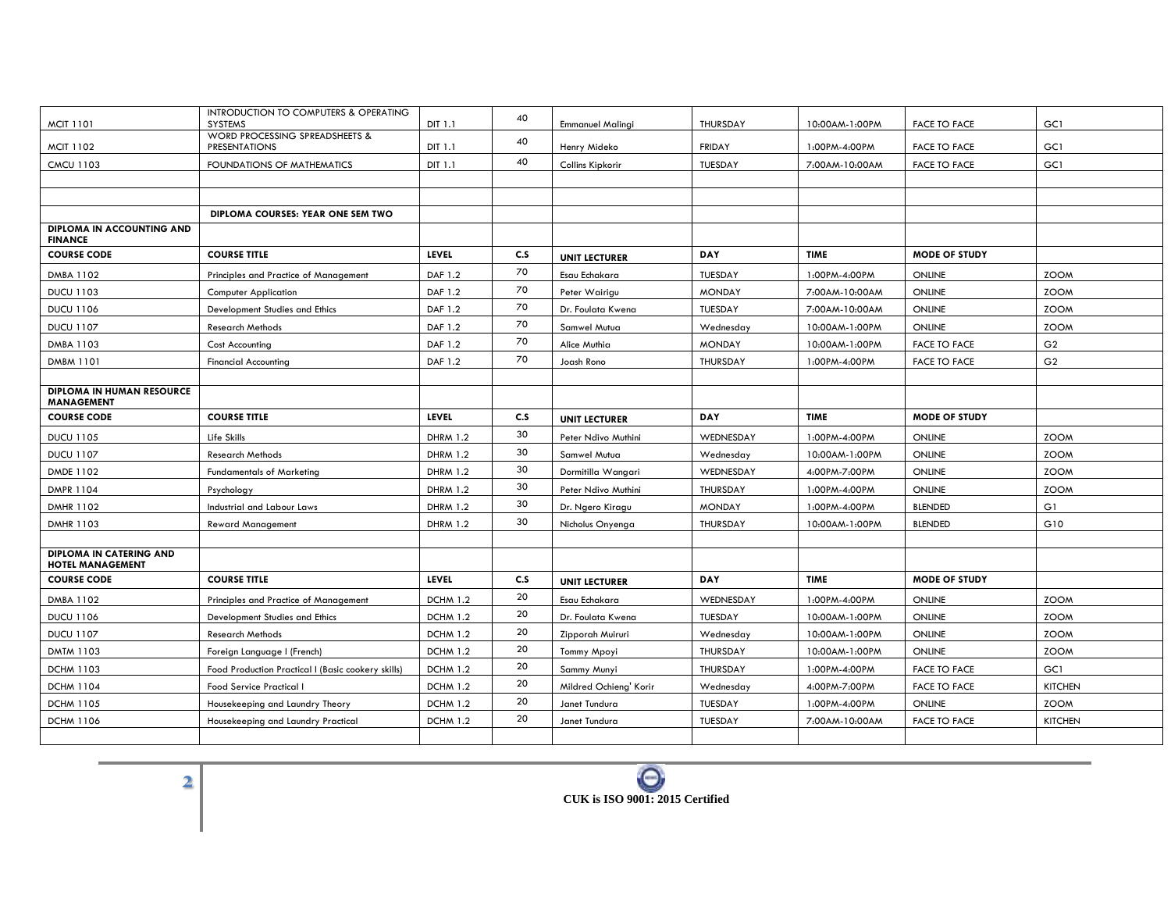|                                                           | INTRODUCTION TO COMPUTERS & OPERATING              |                 | 40  |                         |                 |                |                      |                |
|-----------------------------------------------------------|----------------------------------------------------|-----------------|-----|-------------------------|-----------------|----------------|----------------------|----------------|
| <b>MCIT 1101</b>                                          | <b>SYSTEMS</b><br>WORD PROCESSING SPREADSHEETS &   | DIT 1.1         |     | <b>Emmanuel Malingi</b> | THURSDAY        | 10:00AM-1:00PM | <b>FACE TO FACE</b>  | GC1            |
| <b>MCIT 1102</b>                                          | <b>PRESENTATIONS</b>                               | DIT 1.1         | 40  | Henry Mideko            | <b>FRIDAY</b>   | 1:00PM-4:00PM  | <b>FACE TO FACE</b>  | GC1            |
| <b>CMCU 1103</b>                                          | FOUNDATIONS OF MATHEMATICS                         | DIT 1.1         | 40  | Collins Kipkorir        | TUESDAY         | 7:00AM-10:00AM | <b>FACE TO FACE</b>  | GC1            |
|                                                           |                                                    |                 |     |                         |                 |                |                      |                |
|                                                           |                                                    |                 |     |                         |                 |                |                      |                |
|                                                           | DIPLOMA COURSES: YEAR ONE SEM TWO                  |                 |     |                         |                 |                |                      |                |
| DIPLOMA IN ACCOUNTING AND<br><b>FINANCE</b>               |                                                    |                 |     |                         |                 |                |                      |                |
| <b>COURSE CODE</b>                                        | <b>COURSE TITLE</b>                                | <b>LEVEL</b>    | C.S | <b>UNIT LECTURER</b>    | <b>DAY</b>      | <b>TIME</b>    | <b>MODE OF STUDY</b> |                |
| <b>DMBA 1102</b>                                          | Principles and Practice of Management              | DAF 1.2         | 70  | Esau Echakara           | TUESDAY         | 1:00PM-4:00PM  | <b>ONLINE</b>        | <b>ZOOM</b>    |
| <b>DUCU 1103</b>                                          | <b>Computer Application</b>                        | DAF 1.2         | 70  | Peter Wairigu           | <b>MONDAY</b>   | 7:00AM-10:00AM | <b>ONLINE</b>        | <b>ZOOM</b>    |
| <b>DUCU 1106</b>                                          | Development Studies and Ethics                     | DAF 1.2         | 70  | Dr. Foulata Kwena       | TUESDAY         | 7:00AM-10:00AM | <b>ONLINE</b>        | <b>ZOOM</b>    |
| <b>DUCU 1107</b>                                          | <b>Research Methods</b>                            | DAF 1.2         | 70  | Samwel Mutua            | Wednesday       | 10:00AM-1:00PM | ONLINE               | <b>ZOOM</b>    |
| DMBA 1103                                                 | Cost Accounting                                    | DAF 1.2         | 70  | Alice Muthia            | <b>MONDAY</b>   | 10:00AM-1:00PM | <b>FACE TO FACE</b>  | G <sub>2</sub> |
| DMBM 1101                                                 | <b>Financial Accounting</b>                        | DAF 1.2         | 70  | Joash Rono              | THURSDAY        | 1:00PM-4:00PM  | <b>FACE TO FACE</b>  | G <sub>2</sub> |
|                                                           |                                                    |                 |     |                         |                 |                |                      |                |
| DIPLOMA IN HUMAN RESOURCE<br><b>MANAGEMENT</b>            |                                                    |                 |     |                         |                 |                |                      |                |
| <b>COURSE CODE</b>                                        | <b>COURSE TITLE</b>                                | <b>LEVEL</b>    | C.S | <b>UNIT LECTURER</b>    | <b>DAY</b>      | <b>TIME</b>    | <b>MODE OF STUDY</b> |                |
| <b>DUCU 1105</b>                                          | Life Skills                                        | <b>DHRM 1.2</b> | 30  | Peter Ndivo Muthini     | WEDNESDAY       | 1:00PM-4:00PM  | <b>ONLINE</b>        | <b>ZOOM</b>    |
| <b>DUCU 1107</b>                                          | <b>Research Methods</b>                            | <b>DHRM 1.2</b> | 30  | Samwel Mutua            | Wednesday       | 10:00AM-1:00PM | <b>ONLINE</b>        | <b>ZOOM</b>    |
| DMDE 1102                                                 | <b>Fundamentals of Marketing</b>                   | <b>DHRM 1.2</b> | 30  | Dormitilla Wangari      | WEDNESDAY       | 4:00PM-7:00PM  | <b>ONLINE</b>        | <b>ZOOM</b>    |
| DMPR 1104                                                 | Psychology                                         | <b>DHRM 1.2</b> | 30  | Peter Ndivo Muthini     | THURSDAY        | 1:00PM-4:00PM  | <b>ONLINE</b>        | <b>ZOOM</b>    |
| DMHR 1102                                                 | Industrial and Labour Laws                         | <b>DHRM 1.2</b> | 30  | Dr. Ngero Kiragu        | <b>MONDAY</b>   | 1:00PM-4:00PM  | <b>BLENDED</b>       | G1             |
| DMHR 1103                                                 | <b>Reward Management</b>                           | <b>DHRM 1.2</b> | 30  | Nicholus Onyenga        | THURSDAY        | 10:00AM-1:00PM | <b>BLENDED</b>       | G10            |
|                                                           |                                                    |                 |     |                         |                 |                |                      |                |
| <b>DIPLOMA IN CATERING AND</b><br><b>HOTEL MANAGEMENT</b> |                                                    |                 |     |                         |                 |                |                      |                |
| <b>COURSE CODE</b>                                        | <b>COURSE TITLE</b>                                | LEVEL           | C.S | <b>UNIT LECTURER</b>    | <b>DAY</b>      | <b>TIME</b>    | <b>MODE OF STUDY</b> |                |
| <b>DMBA 1102</b>                                          | Principles and Practice of Management              | <b>DCHM 1.2</b> | 20  | Esau Echakara           | WEDNESDAY       | 1:00PM-4:00PM  | <b>ONLINE</b>        | <b>ZOOM</b>    |
| <b>DUCU 1106</b>                                          | Development Studies and Ethics                     | <b>DCHM 1.2</b> | 20  | Dr. Foulata Kwena       | TUESDAY         | 10:00AM-1:00PM | <b>ONLINE</b>        | <b>ZOOM</b>    |
| <b>DUCU 1107</b>                                          | <b>Research Methods</b>                            | <b>DCHM 1.2</b> | 20  | Zipporah Muiruri        | Wednesday       | 10:00AM-1:00PM | <b>ONLINE</b>        | <b>ZOOM</b>    |
| DMTM 1103                                                 | Foreign Language I (French)                        | <b>DCHM 1.2</b> | 20  | Tommy Mpoyi             | THURSDAY        | 10:00AM-1:00PM | <b>ONLINE</b>        | <b>ZOOM</b>    |
| <b>DCHM 1103</b>                                          | Food Production Practical I (Basic cookery skills) | <b>DCHM 1.2</b> | 20  | Sammy Munyi             | <b>THURSDAY</b> | 1:00PM-4:00PM  | <b>FACE TO FACE</b>  | GC1            |
| <b>DCHM 1104</b>                                          | Food Service Practical I                           | <b>DCHM 1.2</b> | 20  | Mildred Ochieng' Korir  | Wednesday       | 4:00PM-7:00PM  | <b>FACE TO FACE</b>  | <b>KITCHEN</b> |
| <b>DCHM 1105</b>                                          | Housekeeping and Laundry Theory                    | <b>DCHM 1.2</b> | 20  | Janet Tundura           | <b>TUESDAY</b>  | 1:00PM-4:00PM  | <b>ONLINE</b>        | <b>ZOOM</b>    |
| <b>DCHM 1106</b>                                          | Housekeeping and Laundry Practical                 | <b>DCHM 1.2</b> | 20  | Janet Tundura           | TUESDAY         | 7:00AM-10:00AM | <b>FACE TO FACE</b>  | <b>KITCHEN</b> |
|                                                           |                                                    |                 |     |                         |                 |                |                      |                |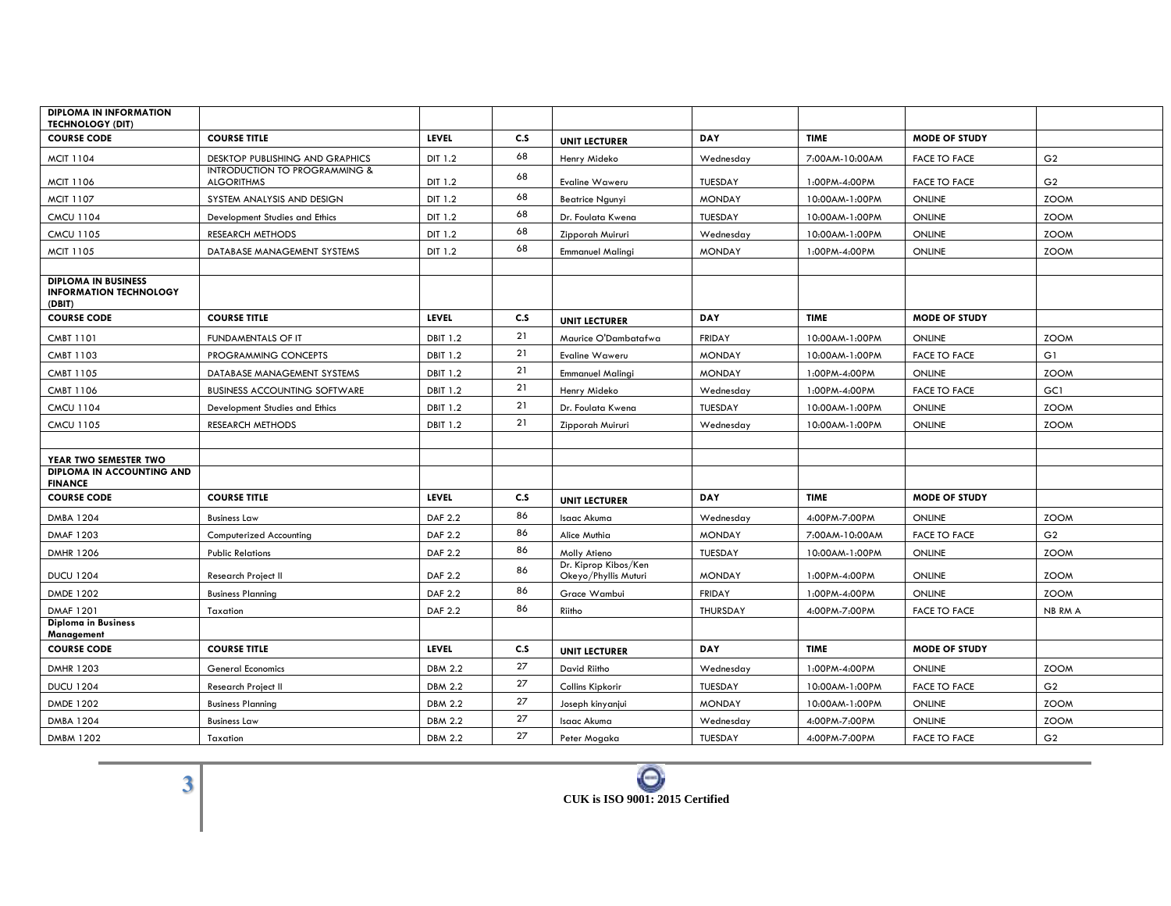| <b>DIPLOMA IN INFORMATION</b><br><b>TECHNOLOGY (DIT)</b>              |                                                    |                 |     |                                              |                |                |                      |                |
|-----------------------------------------------------------------------|----------------------------------------------------|-----------------|-----|----------------------------------------------|----------------|----------------|----------------------|----------------|
| <b>COURSE CODE</b>                                                    | <b>COURSE TITLE</b>                                | <b>LEVEL</b>    | C.S | <b>UNIT LECTURER</b>                         | DAY            | <b>TIME</b>    | <b>MODE OF STUDY</b> |                |
| <b>MCIT 1104</b>                                                      | DESKTOP PUBLISHING AND GRAPHICS                    | DIT 1.2         | 68  | Henry Mideko                                 | Wednesday      | 7:00AM-10:00AM | <b>FACE TO FACE</b>  | G <sub>2</sub> |
| <b>MCIT 1106</b>                                                      | INTRODUCTION TO PROGRAMMING &<br><b>ALGORITHMS</b> | DIT 1.2         | 68  | Evaline Waweru                               | <b>TUESDAY</b> | 1:00PM-4:00PM  | <b>FACE TO FACE</b>  | G <sub>2</sub> |
| <b>MCIT 1107</b>                                                      | SYSTEM ANALYSIS AND DESIGN                         | DIT 1.2         | 68  | <b>Beatrice Ngunyi</b>                       | <b>MONDAY</b>  | 10:00AM-1:00PM | <b>ONLINE</b>        | <b>ZOOM</b>    |
| <b>CMCU 1104</b>                                                      | Development Studies and Ethics                     | DIT 1.2         | 68  | Dr. Foulata Kwena                            | TUESDAY        | 10:00AM-1:00PM | <b>ONLINE</b>        | <b>ZOOM</b>    |
| <b>CMCU 1105</b>                                                      | RESEARCH METHODS                                   | DIT 1.2         | 68  | Zipporah Muiruri                             | Wednesday      | 10:00AM-1:00PM | <b>ONLINE</b>        | <b>ZOOM</b>    |
| <b>MCIT 1105</b>                                                      | DATABASE MANAGEMENT SYSTEMS                        | DIT 1.2         | 68  | <b>Emmanuel Malingi</b>                      | <b>MONDAY</b>  | 1:00PM-4:00PM  | <b>ONLINE</b>        | <b>ZOOM</b>    |
|                                                                       |                                                    |                 |     |                                              |                |                |                      |                |
| <b>DIPLOMA IN BUSINESS</b><br><b>INFORMATION TECHNOLOGY</b><br>(DBIT) |                                                    |                 |     |                                              |                |                |                      |                |
| <b>COURSE CODE</b>                                                    | <b>COURSE TITLE</b>                                | <b>LEVEL</b>    | C.S | <b>UNIT LECTURER</b>                         | DAY            | <b>TIME</b>    | <b>MODE OF STUDY</b> |                |
| CMBT 1101                                                             | FUNDAMENTALS OF IT                                 | <b>DBIT 1.2</b> | 21  | Maurice O'Dambatafwa                         | <b>FRIDAY</b>  | 10:00AM-1:00PM | <b>ONLINE</b>        | <b>ZOOM</b>    |
| CMBT 1103                                                             | PROGRAMMING CONCEPTS                               | <b>DBIT 1.2</b> | 21  | Evaline Waweru                               | <b>MONDAY</b>  | 10:00AM-1:00PM | <b>FACE TO FACE</b>  | G1             |
| <b>CMBT 1105</b>                                                      | DATABASE MANAGEMENT SYSTEMS                        | <b>DBIT 1.2</b> | 21  | <b>Emmanuel Malingi</b>                      | <b>MONDAY</b>  | 1:00PM-4:00PM  | <b>ONLINE</b>        | <b>ZOOM</b>    |
| CMBT 1106                                                             | <b>BUSINESS ACCOUNTING SOFTWARE</b>                | <b>DBIT 1.2</b> | 21  | Henry Mideko                                 | Wednesday      | 1:00PM-4:00PM  | <b>FACE TO FACE</b>  | GC1            |
| <b>CMCU 1104</b>                                                      | Development Studies and Ethics                     | <b>DBIT 1.2</b> | 21  | Dr. Foulata Kwena                            | TUESDAY        | 10:00AM-1:00PM | <b>ONLINE</b>        | <b>ZOOM</b>    |
| <b>CMCU 1105</b>                                                      | RESEARCH METHODS                                   | <b>DBIT 1.2</b> | 21  | Zipporah Muiruri                             | Wednesday      | 10:00AM-1:00PM | <b>ONLINE</b>        | <b>ZOOM</b>    |
|                                                                       |                                                    |                 |     |                                              |                |                |                      |                |
| YEAR TWO SEMESTER TWO                                                 |                                                    |                 |     |                                              |                |                |                      |                |
| DIPLOMA IN ACCOUNTING AND<br><b>FINANCE</b>                           |                                                    |                 |     |                                              |                |                |                      |                |
| <b>COURSE CODE</b>                                                    | <b>COURSE TITLE</b>                                | <b>LEVEL</b>    | C.S | <b>UNIT LECTURER</b>                         | DAY            | <b>TIME</b>    | <b>MODE OF STUDY</b> |                |
| <b>DMBA 1204</b>                                                      | <b>Business Law</b>                                | <b>DAF 2.2</b>  | 86  | Isaac Akuma                                  | Wednesday      | 4:00PM-7:00PM  | <b>ONLINE</b>        | <b>ZOOM</b>    |
| <b>DMAF 1203</b>                                                      | Computerized Accounting                            | <b>DAF 2.2</b>  | 86  | Alice Muthia                                 | <b>MONDAY</b>  | 7:00AM-10:00AM | <b>FACE TO FACE</b>  | G <sub>2</sub> |
| <b>DMHR 1206</b>                                                      | <b>Public Relations</b>                            | <b>DAF 2.2</b>  | 86  | Molly Atieno                                 | TUESDAY        | 10:00AM-1:00PM | <b>ONLINE</b>        | <b>ZOOM</b>    |
| <b>DUCU 1204</b>                                                      | Research Project II                                | <b>DAF 2.2</b>  | 86  | Dr. Kiprop Kibos/Ken<br>Okeyo/Phyllis Muturi | <b>MONDAY</b>  | 1:00PM-4:00PM  | <b>ONLINE</b>        | <b>ZOOM</b>    |
| <b>DMDE 1202</b>                                                      | <b>Business Planning</b>                           | <b>DAF 2.2</b>  | 86  | Grace Wambui                                 | <b>FRIDAY</b>  | 1:00PM-4:00PM  | <b>ONLINE</b>        | <b>ZOOM</b>    |
| <b>DMAF 1201</b>                                                      | Taxation                                           | <b>DAF 2.2</b>  | 86  | Riitho                                       | THURSDAY       | 4:00PM-7:00PM  | <b>FACE TO FACE</b>  | NB RM A        |
| <b>Diploma in Business</b><br>Management                              |                                                    |                 |     |                                              |                |                |                      |                |
| <b>COURSE CODE</b>                                                    | <b>COURSE TITLE</b>                                | LEVEL           | C.S | <b>UNIT LECTURER</b>                         | <b>DAY</b>     | <b>TIME</b>    | <b>MODE OF STUDY</b> |                |
| <b>DMHR 1203</b>                                                      | <b>General Economics</b>                           | <b>DBM 2.2</b>  | 27  | David Riitho                                 | Wednesday      | 1:00PM-4:00PM  | <b>ONLINE</b>        | <b>ZOOM</b>    |
| <b>DUCU 1204</b>                                                      | <b>Research Project II</b>                         | <b>DBM 2.2</b>  | 27  | Collins Kipkorir                             | TUESDAY        | 10:00AM-1:00PM | <b>FACE TO FACE</b>  | G <sub>2</sub> |
| DMDE 1202                                                             | <b>Business Planning</b>                           | <b>DBM 2.2</b>  | 27  | Joseph kinyanjui                             | <b>MONDAY</b>  | 10:00AM-1:00PM | <b>ONLINE</b>        | <b>ZOOM</b>    |
| <b>DMBA 1204</b>                                                      | <b>Business Law</b>                                | <b>DBM 2.2</b>  | 27  | Isaac Akuma                                  | Wednesday      | 4:00PM-7:00PM  | <b>ONLINE</b>        | <b>ZOOM</b>    |
| <b>DMBM 1202</b>                                                      | Taxation                                           | <b>DBM 2.2</b>  | 27  | Peter Mogaka                                 | TUESDAY        | 4:00PM-7:00PM  | <b>FACE TO FACE</b>  | G <sub>2</sub> |

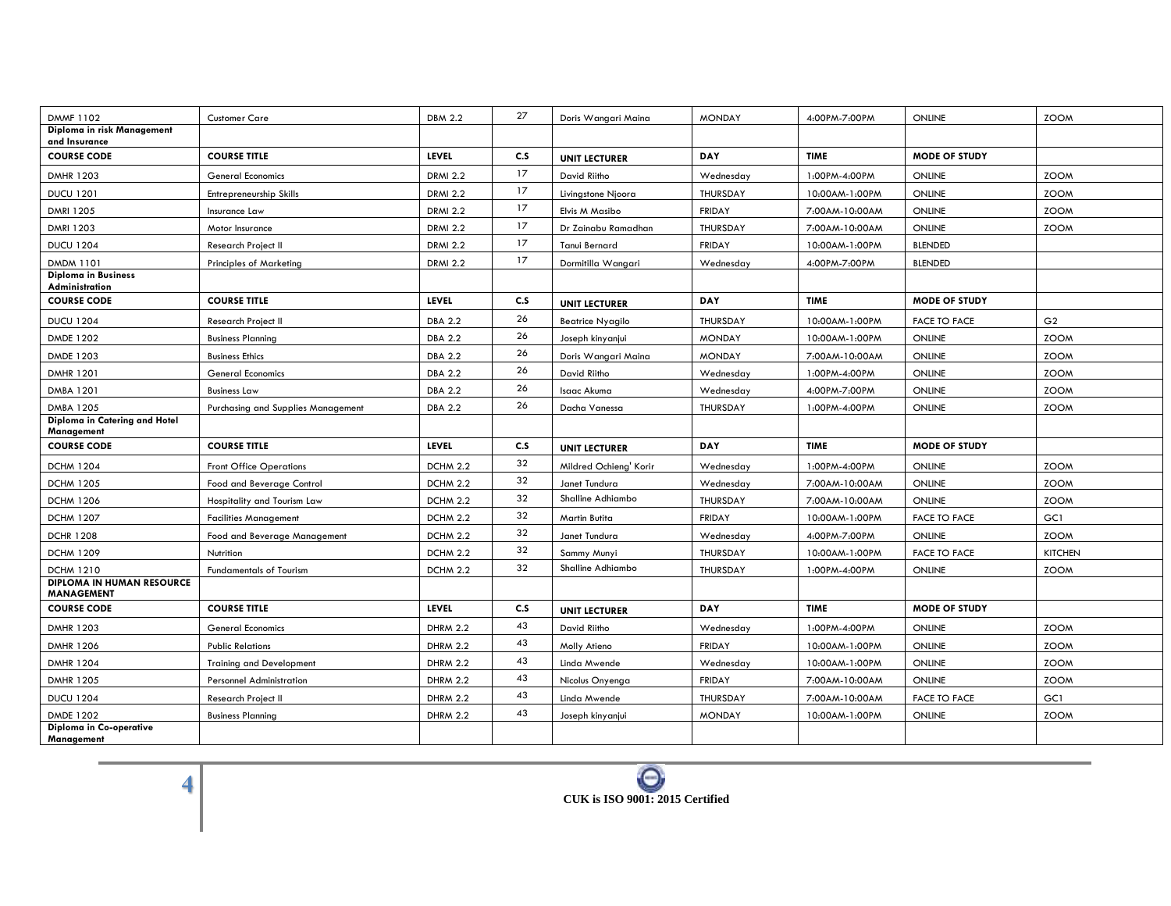| <b>DMMF1102</b>                                       | <b>Customer Care</b>               | <b>DBM 2.2</b>  | 27  | Doris Wangari Maina    | <b>MONDAY</b> | 4:00PM-7:00PM  | <b>ONLINE</b>        | <b>ZOOM</b>    |
|-------------------------------------------------------|------------------------------------|-----------------|-----|------------------------|---------------|----------------|----------------------|----------------|
| Diploma in risk Management<br>and Insurance           |                                    |                 |     |                        |               |                |                      |                |
| <b>COURSE CODE</b>                                    | <b>COURSE TITLE</b>                | LEVEL           | C.S | <b>UNIT LECTURER</b>   | DAY           | <b>TIME</b>    | MODE OF STUDY        |                |
| <b>DMHR 1203</b>                                      | <b>General Economics</b>           | <b>DRMI 2.2</b> | 17  | David Riitho           | Wednesday     | 1:00PM-4:00PM  | <b>ONLINE</b>        | <b>ZOOM</b>    |
| <b>DUCU 1201</b>                                      | Entrepreneurship Skills            | <b>DRMI 2.2</b> | 17  | Livingstone Njoora     | THURSDAY      | 10:00AM-1:00PM | <b>ONLINE</b>        | <b>ZOOM</b>    |
| DMRI 1205                                             | Insurance Law                      | <b>DRMI 2.2</b> | 17  | Elvis M Masibo         | <b>FRIDAY</b> | 7:00AM-10:00AM | <b>ONLINE</b>        | <b>ZOOM</b>    |
| <b>DMRI 1203</b>                                      | Motor Insurance                    | <b>DRMI 2.2</b> | 17  | Dr Zainabu Ramadhan    | THURSDAY      | 7:00AM-10:00AM | <b>ONLINE</b>        | <b>ZOOM</b>    |
| <b>DUCU 1204</b>                                      | <b>Research Project II</b>         | <b>DRMI 2.2</b> | 17  | Tanui Bernard          | <b>FRIDAY</b> | 10:00AM-1:00PM | <b>BLENDED</b>       |                |
| <b>DMDM 1101</b>                                      | <b>Principles of Marketing</b>     | <b>DRMI 2.2</b> | 17  | Dormitilla Wangari     | Wednesday     | 4:00PM-7:00PM  | <b>BLENDED</b>       |                |
| <b>Diploma in Business</b><br>Administration          |                                    |                 |     |                        |               |                |                      |                |
| <b>COURSE CODE</b>                                    | <b>COURSE TITLE</b>                | <b>LEVEL</b>    | C.S | <b>UNIT LECTURER</b>   | DAY           | <b>TIME</b>    | <b>MODE OF STUDY</b> |                |
| <b>DUCU 1204</b>                                      | Research Project II                | <b>DBA 2.2</b>  | 26  | Beatrice Nyagilo       | THURSDAY      | 10:00AM-1:00PM | <b>FACE TO FACE</b>  | G <sub>2</sub> |
| <b>DMDE 1202</b>                                      | <b>Business Planning</b>           | <b>DBA 2.2</b>  | 26  | Joseph kinyanjui       | <b>MONDAY</b> | 10:00AM-1:00PM | <b>ONLINE</b>        | <b>ZOOM</b>    |
| DMDE 1203                                             | <b>Business Ethics</b>             | <b>DBA 2.2</b>  | 26  | Doris Wangari Maina    | <b>MONDAY</b> | 7:00AM-10:00AM | <b>ONLINE</b>        | <b>ZOOM</b>    |
| <b>DMHR 1201</b>                                      | <b>General Economics</b>           | <b>DBA 2.2</b>  | 26  | David Riitho           | Wednesday     | 1:00PM-4:00PM  | <b>ONLINE</b>        | <b>ZOOM</b>    |
| <b>DMBA 1201</b>                                      | <b>Business Law</b>                | <b>DBA 2.2</b>  | 26  | Isaac Akuma            | Wednesday     | 4:00PM-7:00PM  | <b>ONLINE</b>        | <b>ZOOM</b>    |
| <b>DMBA 1205</b>                                      | Purchasing and Supplies Management | <b>DBA 2.2</b>  | 26  | Dacha Vanessa          | THURSDAY      | 1:00PM-4:00PM  | <b>ONLINE</b>        | <b>ZOOM</b>    |
| Diploma in Catering and Hotel<br>Management           |                                    |                 |     |                        |               |                |                      |                |
| <b>COURSE CODE</b>                                    | <b>COURSE TITLE</b>                | LEVEL           | C.S | <b>UNIT LECTURER</b>   | DAY           | <b>TIME</b>    | MODE OF STUDY        |                |
| <b>DCHM 1204</b>                                      | <b>Front Office Operations</b>     | DCHM 2.2        | 32  | Mildred Ochieng' Korir | Wednesday     | 1:00PM-4:00PM  | <b>ONLINE</b>        | <b>ZOOM</b>    |
| <b>DCHM 1205</b>                                      | Food and Beverage Control          | DCHM 2.2        | 32  | Janet Tundura          | Wednesday     | 7:00AM-10:00AM | <b>ONLINE</b>        | <b>ZOOM</b>    |
| <b>DCHM 1206</b>                                      | Hospitality and Tourism Law        | DCHM 2.2        | 32  | Shalline Adhiambo      | THURSDAY      | 7:00AM-10:00AM | <b>ONLINE</b>        | <b>ZOOM</b>    |
| <b>DCHM 1207</b>                                      | <b>Facilities Management</b>       | DCHM 2.2        | 32  | Martin Butita          | <b>FRIDAY</b> | 10:00AM-1:00PM | <b>FACE TO FACE</b>  | GC1            |
| <b>DCHR 1208</b>                                      | Food and Beverage Management       | DCHM 2.2        | 32  | Janet Tundura          | Wednesday     | 4:00PM-7:00PM  | <b>ONLINE</b>        | <b>ZOOM</b>    |
| <b>DCHM 1209</b>                                      | Nutrition                          | DCHM 2.2        | 32  | Sammy Munyi            | THURSDAY      | 10:00AM-1:00PM | <b>FACE TO FACE</b>  | <b>KITCHEN</b> |
| <b>DCHM 1210</b>                                      | <b>Fundamentals of Tourism</b>     | DCHM 2.2        | 32  | Shalline Adhiambo      | THURSDAY      | 1:00PM-4:00PM  | <b>ONLINE</b>        | <b>ZOOM</b>    |
| <b>DIPLOMA IN HUMAN RESOURCE</b><br><b>MANAGEMENT</b> |                                    |                 |     |                        |               |                |                      |                |
| <b>COURSE CODE</b>                                    | <b>COURSE TITLE</b>                | <b>LEVEL</b>    | C.S | <b>UNIT LECTURER</b>   | DAY           | <b>TIME</b>    | <b>MODE OF STUDY</b> |                |
| <b>DMHR 1203</b>                                      | <b>General Economics</b>           | <b>DHRM 2.2</b> | 43  | David Riitho           | Wednesday     | 1:00PM-4:00PM  | <b>ONLINE</b>        | <b>ZOOM</b>    |
| <b>DMHR 1206</b>                                      | <b>Public Relations</b>            | <b>DHRM 2.2</b> | 43  | Molly Atieno           | <b>FRIDAY</b> | 10:00AM-1:00PM | <b>ONLINE</b>        | <b>ZOOM</b>    |
| <b>DMHR 1204</b>                                      | <b>Training and Development</b>    | <b>DHRM 2.2</b> | 43  | Linda Mwende           | Wednesday     | 10:00AM-1:00PM | <b>ONLINE</b>        | <b>ZOOM</b>    |
| <b>DMHR 1205</b>                                      | <b>Personnel Administration</b>    | <b>DHRM 2.2</b> | 43  | Nicolus Onyenga        | <b>FRIDAY</b> | 7:00AM-10:00AM | <b>ONLINE</b>        | <b>ZOOM</b>    |
| <b>DUCU 1204</b>                                      | Research Project II                | <b>DHRM 2.2</b> | 43  | Linda Mwende           | THURSDAY      | 7:00AM-10:00AM | <b>FACE TO FACE</b>  | GC1            |
| <b>DMDE 1202</b>                                      | <b>Business Planning</b>           | <b>DHRM 2.2</b> | 43  | Joseph kinyanjui       | <b>MONDAY</b> | 10:00AM-1:00PM | <b>ONLINE</b>        | <b>ZOOM</b>    |
| Diploma in Co-operative<br>Management                 |                                    |                 |     |                        |               |                |                      |                |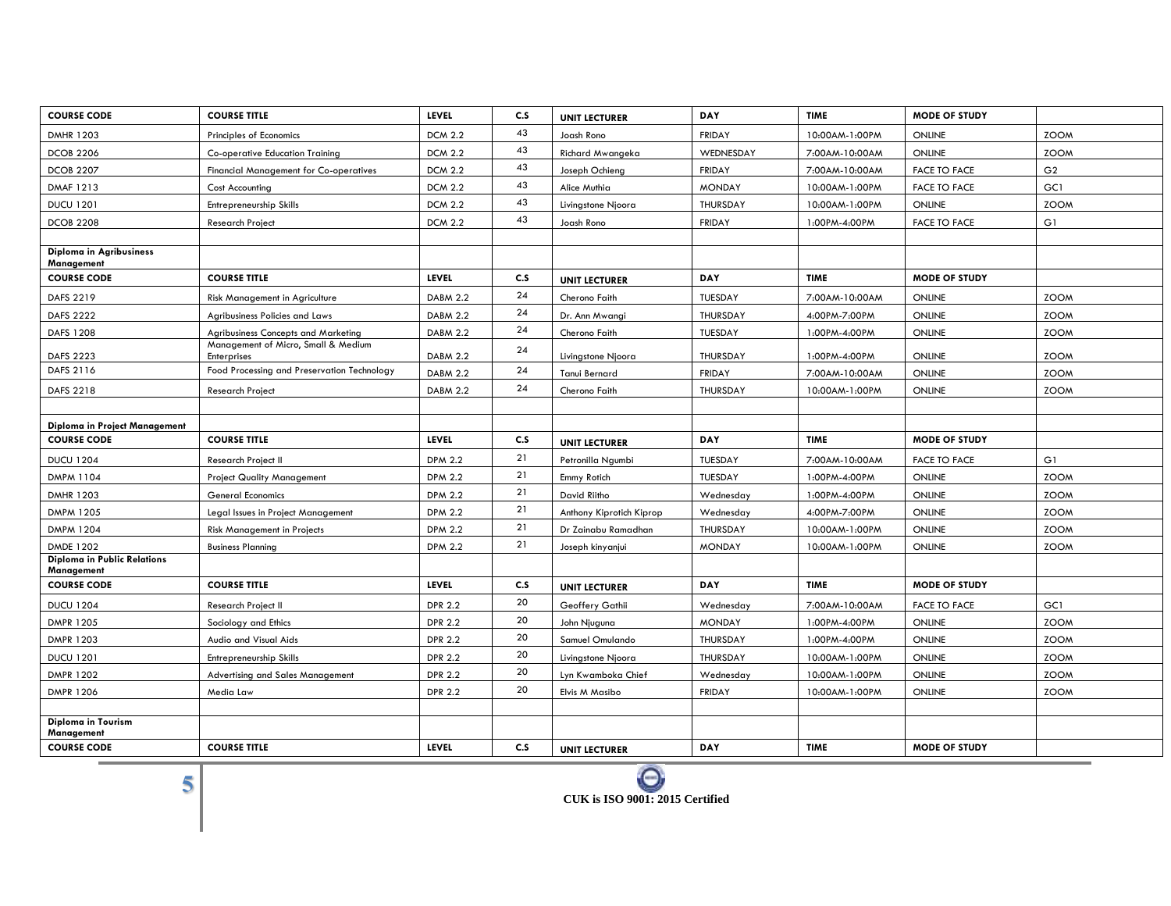| <b>COURSE CODE</b>                               | <b>COURSE TITLE</b>                                       | LEVEL           | C.S | <b>UNIT LECTURER</b>     | DAY           | <b>TIME</b>    | <b>MODE OF STUDY</b> |                |
|--------------------------------------------------|-----------------------------------------------------------|-----------------|-----|--------------------------|---------------|----------------|----------------------|----------------|
| <b>DMHR 1203</b>                                 | Principles of Economics                                   | <b>DCM 2.2</b>  | 43  | Joash Rono               | FRIDAY        | 10:00AM-1:00PM | <b>ONLINE</b>        | <b>ZOOM</b>    |
| <b>DCOB 2206</b>                                 | <b>Co-operative Education Training</b>                    | <b>DCM 2.2</b>  | 43  | Richard Mwangeka         | WEDNESDAY     | 7:00AM-10:00AM | <b>ONLINE</b>        | <b>ZOOM</b>    |
| <b>DCOB 2207</b>                                 | <b>Financial Management for Co-operatives</b>             | <b>DCM 2.2</b>  | 43  | Joseph Ochieng           | FRIDAY        | 7:00AM-10:00AM | <b>FACE TO FACE</b>  | G <sub>2</sub> |
| DMAF 1213                                        | <b>Cost Accounting</b>                                    | <b>DCM 2.2</b>  | 43  | Alice Muthia             | <b>MONDAY</b> | 10:00AM-1:00PM | <b>FACE TO FACE</b>  | GC1            |
| <b>DUCU 1201</b>                                 | <b>Entrepreneurship Skills</b>                            | <b>DCM 2.2</b>  | 43  | Livingstone Njoora       | THURSDAY      | 10:00AM-1:00PM | <b>ONLINE</b>        | <b>ZOOM</b>    |
| <b>DCOB 2208</b>                                 | Research Project                                          | <b>DCM 2.2</b>  | 43  | Joash Rono               | <b>FRIDAY</b> | 1:00PM-4:00PM  | <b>FACE TO FACE</b>  | G1             |
|                                                  |                                                           |                 |     |                          |               |                |                      |                |
| Diploma in Agribusiness<br>Management            |                                                           |                 |     |                          |               |                |                      |                |
| <b>COURSE CODE</b>                               | <b>COURSE TITLE</b>                                       | <b>LEVEL</b>    | C.S | <b>UNIT LECTURER</b>     | <b>DAY</b>    | <b>TIME</b>    | <b>MODE OF STUDY</b> |                |
| DAFS 2219                                        | Risk Management in Agriculture                            | <b>DABM 2.2</b> | 24  | Cherono Faith            | TUESDAY       | 7:00AM-10:00AM | <b>ONLINE</b>        | <b>ZOOM</b>    |
| <b>DAFS 2222</b>                                 | Agribusiness Policies and Laws                            | <b>DABM 2.2</b> | 24  | Dr. Ann Mwangi           | THURSDAY      | 4:00PM-7:00PM  | <b>ONLINE</b>        | <b>ZOOM</b>    |
| DAFS 1208                                        | <b>Agribusiness Concepts and Marketing</b>                | <b>DABM 2.2</b> | 24  | Cherono Faith            | TUESDAY       | 1:00PM-4:00PM  | <b>ONLINE</b>        | <b>ZOOM</b>    |
| DAFS 2223                                        | Management of Micro, Small & Medium<br><b>Enterprises</b> | <b>DABM 2.2</b> | 24  | Livingstone Njoora       | THURSDAY      | 1:00PM-4:00PM  | <b>ONLINE</b>        | <b>ZOOM</b>    |
| DAFS 2116                                        | Food Processing and Preservation Technology               | <b>DABM 2.2</b> | 24  | Tanui Bernard            | FRIDAY        | 7:00AM-10:00AM | <b>ONLINE</b>        | <b>ZOOM</b>    |
| DAFS 2218                                        | <b>Research Project</b>                                   | <b>DABM 2.2</b> | 24  | Cherono Faith            | THURSDAY      | 10:00AM-1:00PM | <b>ONLINE</b>        | <b>ZOOM</b>    |
|                                                  |                                                           |                 |     |                          |               |                |                      |                |
| Diploma in Project Management                    |                                                           |                 |     |                          |               |                |                      |                |
| <b>COURSE CODE</b>                               | <b>COURSE TITLE</b>                                       | <b>LEVEL</b>    | C.S | <b>UNIT LECTURER</b>     | <b>DAY</b>    | <b>TIME</b>    | <b>MODE OF STUDY</b> |                |
| <b>DUCU 1204</b>                                 | <b>Research Project II</b>                                | <b>DPM 2.2</b>  | 21  | Petronilla Ngumbi        | TUESDAY       | 7:00AM-10:00AM | <b>FACE TO FACE</b>  | G1             |
|                                                  |                                                           |                 |     |                          |               |                |                      |                |
| DMPM 1104                                        | <b>Project Quality Management</b>                         | <b>DPM 2.2</b>  | 21  | Emmy Rotich              | TUESDAY       | 1:00PM-4:00PM  | <b>ONLINE</b>        | <b>ZOOM</b>    |
| <b>DMHR 1203</b>                                 | <b>General Economics</b>                                  | <b>DPM 2.2</b>  | 21  | David Riitho             | Wednesday     | 1:00PM-4:00PM  | <b>ONLINE</b>        | <b>ZOOM</b>    |
| <b>DMPM 1205</b>                                 | Legal Issues in Project Management                        | <b>DPM 2.2</b>  | 21  | Anthony Kiprotich Kiprop | Wednesday     | 4:00PM-7:00PM  | <b>ONLINE</b>        | <b>ZOOM</b>    |
| <b>DMPM 1204</b>                                 | <b>Risk Management in Projects</b>                        | <b>DPM 2.2</b>  | 21  | Dr Zainabu Ramadhan      | THURSDAY      | 10:00AM-1:00PM | <b>ONLINE</b>        | <b>ZOOM</b>    |
| <b>DMDE 1202</b>                                 | <b>Business Planning</b>                                  | <b>DPM 2.2</b>  | 21  | Joseph kinyanjui         | <b>MONDAY</b> | 10:00AM-1:00PM | <b>ONLINE</b>        | <b>ZOOM</b>    |
| <b>Diploma in Public Relations</b><br>Management |                                                           |                 |     |                          |               |                |                      |                |
| <b>COURSE CODE</b>                               | <b>COURSE TITLE</b>                                       | LEVEL           | C.S | <b>UNIT LECTURER</b>     | DAY           | <b>TIME</b>    | <b>MODE OF STUDY</b> |                |
| <b>DUCU 1204</b>                                 | Research Project II                                       | <b>DPR 2.2</b>  | 20  | Geoffery Gathii          | Wednesday     | 7:00AM-10:00AM | <b>FACE TO FACE</b>  | GC1            |
| <b>DMPR 1205</b>                                 | Sociology and Ethics                                      | <b>DPR 2.2</b>  | 20  | John Njuguna             | <b>MONDAY</b> | 1:00PM-4:00PM  | <b>ONLINE</b>        | <b>ZOOM</b>    |
| <b>DMPR 1203</b>                                 | Audio and Visual Aids                                     | <b>DPR 2.2</b>  | 20  | Samuel Omulando          | THURSDAY      | 1:00PM-4:00PM  | <b>ONLINE</b>        | <b>ZOOM</b>    |
| <b>DUCU 1201</b>                                 | Entrepreneurship Skills                                   | <b>DPR 2.2</b>  | 20  | Livingstone Njoora       | THURSDAY      | 10:00AM-1:00PM | <b>ONLINE</b>        | <b>ZOOM</b>    |
| <b>DMPR 1202</b>                                 | Advertising and Sales Management                          | <b>DPR 2.2</b>  | 20  | Lyn Kwamboka Chief       | Wednesday     | 10:00AM-1:00PM | <b>ONLINE</b>        | <b>ZOOM</b>    |
| <b>DMPR 1206</b>                                 | Media Law                                                 | <b>DPR 2.2</b>  | 20  | Elvis M Masibo           | FRIDAY        | 10:00AM-1:00PM | <b>ONLINE</b>        | <b>ZOOM</b>    |
|                                                  |                                                           |                 |     |                          |               |                |                      |                |
| <b>Diploma in Tourism</b><br>Management          |                                                           |                 |     |                          |               |                |                      |                |



-

 $\sim$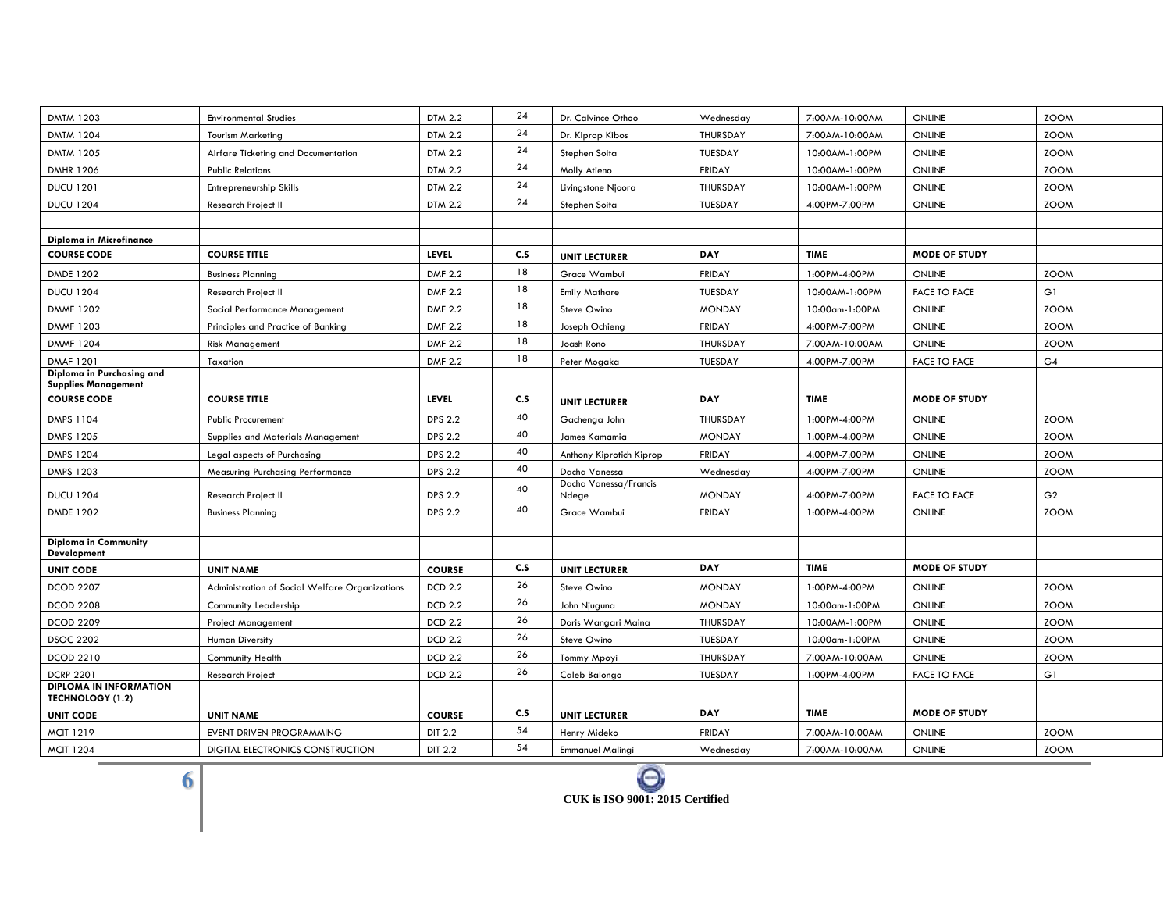| <b>DMTM 1203</b>                                        | <b>Environmental Studies</b>                   | <b>DTM 2.2</b> | 24       | Dr. Calvince Othoo             | Wednesday       | 7:00AM-10:00AM | ONLINE               | <b>ZOOM</b>    |
|---------------------------------------------------------|------------------------------------------------|----------------|----------|--------------------------------|-----------------|----------------|----------------------|----------------|
| <b>DMTM 1204</b>                                        | <b>Tourism Marketing</b>                       | DTM 2.2        | 24       | Dr. Kiprop Kibos               | THURSDAY        | 7:00AM-10:00AM | <b>ONLINE</b>        | <b>ZOOM</b>    |
| <b>DMTM 1205</b>                                        | Airfare Ticketing and Documentation            | <b>DTM 2.2</b> | 24       | Stephen Soita                  | TUESDAY         | 10:00AM-1:00PM | ONLINE               | <b>ZOOM</b>    |
| <b>DMHR 1206</b>                                        | <b>Public Relations</b>                        | <b>DTM 2.2</b> | 24       | Molly Atieno                   | FRIDAY          | 10:00AM-1:00PM | ONLINE               | <b>ZOOM</b>    |
| <b>DUCU 1201</b>                                        | Entrepreneurship Skills                        | DTM 2.2        | 24       | Livingstone Njoora             | <b>THURSDAY</b> | 10:00AM-1:00PM | <b>ONLINE</b>        | <b>ZOOM</b>    |
| <b>DUCU 1204</b>                                        | Research Project II                            | <b>DTM 2.2</b> | 24       | Stephen Soita                  | TUESDAY         | 4:00PM-7:00PM  | ONLINE               | <b>ZOOM</b>    |
|                                                         |                                                |                |          |                                |                 |                |                      |                |
| Diploma in Microfinance                                 |                                                |                |          |                                |                 |                |                      |                |
| <b>COURSE CODE</b>                                      | <b>COURSE TITLE</b>                            | <b>LEVEL</b>   | C.S      | <b>UNIT LECTURER</b>           | DAY             | <b>TIME</b>    | <b>MODE OF STUDY</b> |                |
| DMDE 1202                                               | <b>Business Planning</b>                       | <b>DMF 2.2</b> | 18       | Grace Wambui                   | <b>FRIDAY</b>   | 1:00PM-4:00PM  | ONLINE               | <b>ZOOM</b>    |
| <b>DUCU 1204</b>                                        | <b>Research Project II</b>                     | <b>DMF 2.2</b> | 18       | <b>Emily Mathare</b>           | TUESDAY         | 10:00AM-1:00PM | <b>FACE TO FACE</b>  | G1             |
| <b>DMMF 1202</b>                                        | Social Performance Management                  | <b>DMF 2.2</b> | 18       | Steve Owino                    | <b>MONDAY</b>   | 10:00am-1:00PM | ONLINE               | <b>ZOOM</b>    |
| <b>DMMF 1203</b>                                        | Principles and Practice of Banking             | <b>DMF 2.2</b> | 18       | Joseph Ochieng                 | <b>FRIDAY</b>   | 4:00PM-7:00PM  | ONLINE               | <b>ZOOM</b>    |
| <b>DMMF 1204</b>                                        | <b>Risk Management</b>                         | <b>DMF 2.2</b> | 18       | Joash Rono                     | THURSDAY        | 7:00AM-10:00AM | <b>ONLINE</b>        | <b>ZOOM</b>    |
| <b>DMAF 1201</b>                                        | Taxation                                       | <b>DMF 2.2</b> | 18       | Peter Mogaka                   | TUESDAY         | 4:00PM-7:00PM  | <b>FACE TO FACE</b>  | G4             |
| Diploma in Purchasing and<br><b>Supplies Management</b> |                                                |                |          |                                |                 |                |                      |                |
| <b>COURSE CODE</b>                                      | <b>COURSE TITLE</b>                            | LEVEL          | C.S      | <b>UNIT LECTURER</b>           | <b>DAY</b>      | <b>TIME</b>    | <b>MODE OF STUDY</b> |                |
| <b>DMPS 1104</b>                                        | <b>Public Procurement</b>                      | <b>DPS 2.2</b> | 40       | Gachenga John                  | THURSDAY        | 1:00PM-4:00PM  | ONLINE               | <b>ZOOM</b>    |
| DMPS 1205                                               | Supplies and Materials Management              | <b>DPS 2.2</b> | 40       | James Kamamia                  | <b>MONDAY</b>   | 1:00PM-4:00PM  | ONLINE               | <b>ZOOM</b>    |
| <b>DMPS 1204</b>                                        | Legal aspects of Purchasing                    | <b>DPS 2.2</b> | 40       | Anthony Kiprotich Kiprop       | <b>FRIDAY</b>   | 4:00PM-7:00PM  | ONLINE               | <b>ZOOM</b>    |
| <b>DMPS 1203</b>                                        | <b>Measuring Purchasing Performance</b>        | <b>DPS 2.2</b> | 40       | Dacha Vanessa                  | Wednesday       | 4:00PM-7:00PM  | <b>ONLINE</b>        | <b>ZOOM</b>    |
| <b>DUCU 1204</b>                                        | <b>Research Project II</b>                     | <b>DPS 2.2</b> | 40       | Dacha Vanessa/Francis<br>Ndege | <b>MONDAY</b>   | 4:00PM-7:00PM  | <b>FACE TO FACE</b>  | G <sub>2</sub> |
| DMDE 1202                                               | <b>Business Planning</b>                       | <b>DPS 2.2</b> | 40       | Grace Wambui                   | <b>FRIDAY</b>   | 1:00PM-4:00PM  | ONLINE               | <b>ZOOM</b>    |
|                                                         |                                                |                |          |                                |                 |                |                      |                |
| <b>Diploma in Community</b>                             |                                                |                |          |                                |                 |                |                      |                |
| <b>Development</b>                                      |                                                |                |          |                                |                 |                |                      |                |
| <b>UNIT CODE</b>                                        | <b>UNIT NAME</b>                               | <b>COURSE</b>  | C.S      | <b>UNIT LECTURER</b>           | DAY             | <b>TIME</b>    | <b>MODE OF STUDY</b> |                |
| <b>DCOD 2207</b>                                        | Administration of Social Welfare Organizations | <b>DCD 2.2</b> | 26<br>26 | Steve Owino                    | <b>MONDAY</b>   | 1:00PM-4:00PM  | <b>ONLINE</b>        | <b>ZOOM</b>    |
| <b>DCOD 2208</b>                                        | Community Leadership                           | <b>DCD 2.2</b> |          | John Njuguna                   | <b>MONDAY</b>   | 10:00am-1:00PM | ONLINE               | <b>ZOOM</b>    |
| <b>DCOD 2209</b>                                        | <b>Project Management</b>                      | <b>DCD 2.2</b> | 26       | Doris Wangari Maina            | THURSDAY        | 10:00AM-1:00PM | ONLINE               | <b>ZOOM</b>    |
| <b>DSOC 2202</b>                                        | Human Diversity                                | <b>DCD 2.2</b> | 26       | Steve Owino                    | TUESDAY         | 10:00am-1:00PM | ONLINE               | <b>ZOOM</b>    |
| DCOD 2210                                               | <b>Community Health</b>                        | <b>DCD 2.2</b> | 26       | Tommy Mpoyi                    | THURSDAY        | 7:00AM-10:00AM | ONLINE               | <b>ZOOM</b>    |
| <b>DCRP 2201</b><br><b>DIPLOMA IN INFORMATION</b>       | <b>Research Project</b>                        | <b>DCD 2.2</b> | 26       | Caleb Balongo                  | TUESDAY         | 1:00PM-4:00PM  | <b>FACE TO FACE</b>  | G1             |
| TECHNOLOGY (1.2)                                        |                                                |                |          |                                |                 |                |                      |                |
| <b>UNIT CODE</b>                                        | <b>UNIT NAME</b>                               | <b>COURSE</b>  | C.S      | <b>UNIT LECTURER</b>           | <b>DAY</b>      | <b>TIME</b>    | <b>MODE OF STUDY</b> |                |
| <b>MCIT 1219</b>                                        | <b>EVENT DRIVEN PROGRAMMING</b>                | <b>DIT 2.2</b> | 54       | Henry Mideko                   | <b>FRIDAY</b>   | 7:00AM-10:00AM | ONLINE               | <b>ZOOM</b>    |
| <b>MCIT 1204</b>                                        | DIGITAL ELECTRONICS CONSTRUCTION               | DIT 2.2        | 54       | <b>Emmanuel Malingi</b>        | Wednesday       | 7:00AM-10:00AM | ONLINE               | <b>ZOOM</b>    |